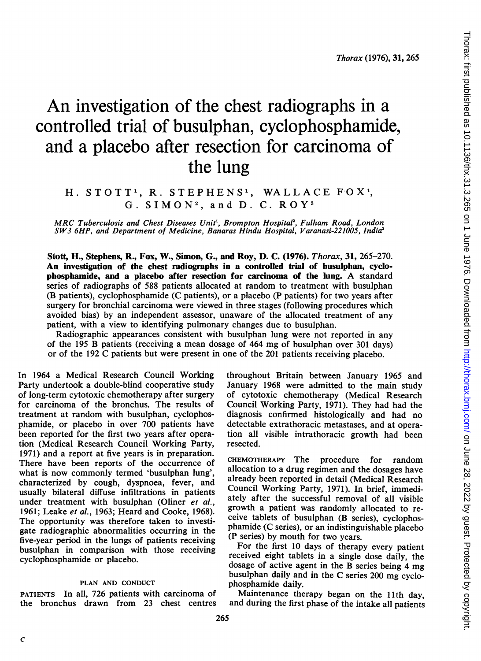# An investigation of the chest radiographs in a controlled trial of busulphan, cyclophosphamide, and a placebo after resection for carcinoma of the lung

# H. STOTT<sup>1</sup>, R. STEPHENS<sup>1</sup>, WALLACE FOX<sup>1</sup>,  $G.$  SIMON<sup>2</sup>, and D. C. ROY<sup>3</sup>

MRC Tuberculosis and Chest Diseases Unit<sup>1</sup>, Brompton Hospital<sup>2</sup>, Fulham Road, London SW3 6HP, and Department of Medicine, Banaras Hindu Hospital, Varanasi-221005, India'

Stott, H., Stephens, R., Fox, W., Simon, G., and Roy, D. C. (1976). Thorax, 31, 265-270. An investigation of the chest radiographs in a controlled trial of busulphan, cyclophosphamide, and <sup>a</sup> placebo after resection for carcinoma of the lung. A standard series of radiographs of 588 patients allocated at random to treatment with busulphan (B patients), cyclophosphamide (C patients), or a placebo (P patients) for two years after surgery for bronchial carcinoma were viewed in three stages (following procedures which avoided bias) by an independent assessor, unaware of the allocated treatment of any patient, with a view to identifying pulmonary changes due to busulphan.

Radiographic appearances consistent with busulphan lung were not reported in any of the <sup>195</sup> B patients (receiving <sup>a</sup> mean dosage of 464 mg of busulphan over <sup>301</sup> days) or of the 192 C patients but were present in one of the 201 patients receiving placebo.

In 1964 a Medical Research Council Working Party undertook a double-blind cooperative study of long-term cytotoxic chemotherapy after surgery for carcinoma of the bronchus. The results of treatment at random with busulphan, cyclophosphamide, or placebo in over 700 patients have been reported for the first two years after operation (Medical Research Council Working Party, 1971) and a report at five years is in preparation. There have been reports of the occurrence of what is now commonly termed 'busulphan lung', characterized by cough, dyspnoea, fever, and usually bilateral diffuse infiltrations in patients under treatment with busulphan (Oliner et al., 1961; Leake et al., 1963; Heard and Cooke, 1968). The opportunity was therefore taken to investigate radiographic abnormalities occurring in the five-year period in the lungs of patients receiving busulphan in comparison with those receiving cyclophosphamide or placebo.

## PLAN AND CONDUCT

PATIENTS In all, 726 patients with carcinoma of the bronchus drawn from 23 chest centres throughout Britain between January 1965 and January 1968 were admitted to the main study of cytotoxic chemotherapy (Medical Research Council Working Party, 1971). They had had the diagnosis confirmed histologically and had no detectable extrathoracic metastases, and at operation all visible intrathoracic growth had been resected.

CHEMOTHERAPY The procedure for random allocation to a drug regimen and the dosages have already been reported in detail (Medical Research Council Working Party, 1971). In brief, immediately after the successful removal of all visible growth a patient was randomly allocated to receive tablets of busulphan (B series), cyclophosphamide (C series), or an indistinguishable placebo (P series) by mouth for two years.

For the first 10 days of therapy every patient received eight tablets in a single dose daily, the dosage of active agent in the B series being <sup>4</sup> mg busulphan daily and in the C series 200 mg cyclophosphamide daily.

Maintenance therapy began on the 11th day, and during the first phase of the intake all patients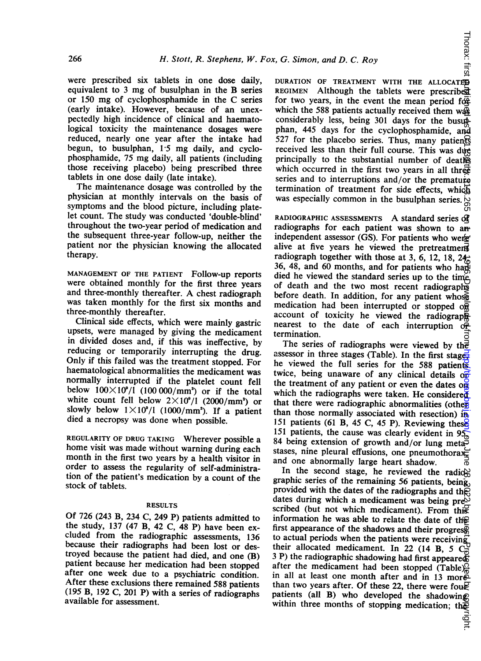were prescribed six tablets in one dose daily, equivalent to <sup>3</sup> mg of busulphan in the B series or <sup>150</sup> mg of cyclophosphamide in the C series (early intake). However, because of an unexpectedly high incidence of clinical and haematological toxicity the maintenance dosages were reduced, nearly one year after the intake had begun, to busulphan, 1-5 mg daily, and cyclophosphamide, <sup>75</sup> mg daily, all patients (including those receiving placebo) being prescribed three tablets in one dose daily (late intake).

The maintenance dosage was controlled by the physician at monthly intervals on the basis of symptoms and the blood picture, including platelet count. The study was conducted 'double-blind' throughout the two-year period of medication and the subsequent three-year follow-up, neither the patient nor the physician knowing the allocated therapy.

MANAGEMENT OF THE PATIENT Follow-up reports were obtained monthly for the first three years and three-monthly thereafter. A chest radiograph was taken monthly for the first six months and three-monthly thereafter.

Clinical side effects, which were mainly gastric upsets, were managed by giving the medicament in divided doses and, if this was ineffective, by reducing or temporarily interrupting the drug. Only if this failed was the treatment stopped. For haematological abnormalities the medicament was normally interrupted if the platelet count fell below  $100\times10^9/1$  (100 000/mm<sup>3</sup>) or if the total white count fell below  $2\times10^9/1$  (2000/mm<sup>3</sup>) or slowly below  $1 \times 10^9/1$  (1000/mm<sup>3</sup>). If a patient died a necropsy was done when possible.

REGULARITY OF DRUG TAKING Wherever possible a home visit was made without warning during each month in the first two years by a health visitor in order to assess the regularity of self-administration of the patient's medication by a count of the stock of tablets.

## RESULTS

Of 726 (243 B, 234 C, 249 P) patients admitted to the study, 137 (47 B, 42 C, 48 P) have been excluded from the radiographic assessments, 136 because their radiographs had been lost or destroyed because the patient had died, and one (B) patient because her medication had been stopped after one week due to a psychiatric condition. After these exclusions there remained 588 patients (195 B, 192 C, 201 P) with a series of radiographs available for assessment.

Thorax: first DURATION OF TREATMENT WITH THE ALLOCATED REGIMEN Although the tablets were prescribed for two years, in the event the mean period  $f_0$ . which the 588 patients actually received them was considerably less, being 301 days for the busupphan, 445 days for the cyclophosphamide, and 527 for the placebo series. Thus, many patients received less than their full course. This was due principally to the substantial number of deaths which occurred in the first two years in all three series and to interruptions and/or the premature termination of treatment for side effects, which was especially common in the busulphan series.  $\frac{1}{\infty}$ 

RADIOGRAPHIC ASSESSMENTS A standard series of radiographs for each patient was shown to an independent assessor (GS). For patients who were alive at five years he viewed the pretreatment radiograph together with those at 3, 6, 12, 18, 24 $\pm$ 36, 48, and 60 months, and for patients who had died he viewed the standard series up to the time of death and the two most recent radiographs before death. In addition, for any patient whose medication had been interrupted or stopped on account of toxicity he viewed the radiograph nearest to the date of each interruption  $o\ddot{r}$ termination.

The series of radiographs were viewed by the<br>assessor in three stages (Table). In the first stages he viewed the full series for the 588 patients twice, being unaware of any clinical details  $\sigma$ the treatment of any patient or even the dates  $\alpha$ which the radiographs were taken. He considered<br>that there were radiographic abnormalities (other than those normally associated with resection) in 151 patients (61 B, 45 C, 45 P). Reviewing these 151 patients, the cause was clearly evident in  $95\%$ 84 being extension of growth and/or lung meta<sup>5</sup> stases, nine pleural effusions, one pneumothora $x_{\overline{n}}$ and one abnormally large heart shadow.

In the second stage, he reviewed the radio $\approx$ graphic series of the remaining 56 patients, being, provided with the dates of the radiographs and the<br>dates during which a medicament was being pre $\mathbb{R}^3$ scribed (but not which medicament). From this information he was able to relate the date of the first appearance of the shadows and their progress to actual periods when the patients were receiving their allocated medicament. In 22 (14 B, 5 C<sub>o</sub> 3 P) the radiographic shadowing had first appeared. after the medicament had been stopped (Table) $\frac{1}{n}$ in all at least one month after and in 13 more than two years after. Of these 22, there were fought<br>patients (all B) who developed the shadowing within three months of stopping medication; the  $\alpha$  June 28, 2022 by grow the Right published by contribution as  $\beta$  and  $\beta$  and  $\beta$  as  $\beta$  on  $\beta$  on  $\beta$  as  $\beta$  on  $\beta$  as  $\beta$  on  $\beta$  on  $\beta$  as  $\beta$  on  $\beta$  as  $\beta$  on  $\beta$  on  $\beta$  as  $\beta$  on  $\beta$  on  $\beta$  on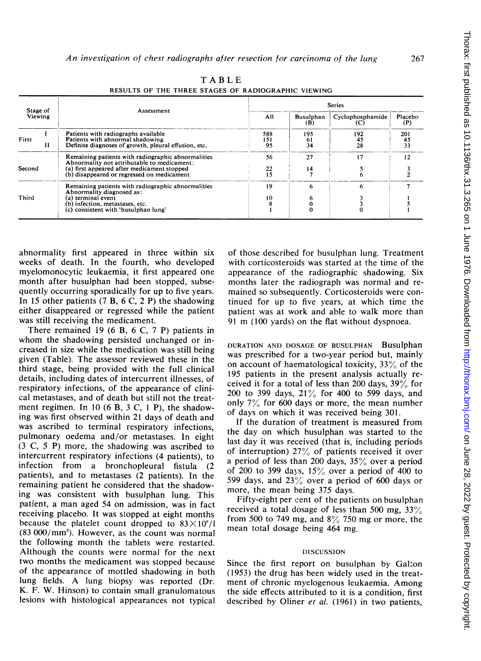| Stage of<br>Viewing | Assessment                                                                                                                                                                                     | <b>Series</b>    |                         |                         |                        |
|---------------------|------------------------------------------------------------------------------------------------------------------------------------------------------------------------------------------------|------------------|-------------------------|-------------------------|------------------------|
|                     |                                                                                                                                                                                                | All              | <b>Busulphan</b><br>(B) | Cyclophosphamide<br>(C) | Placebo<br>(P)         |
| First<br>н          | Patients with radiographs available<br>Patients with abnormal shadowing<br>Definite diagnoses of growth, pleural effusion, etc.                                                                | 588<br>151<br>95 | 195<br>61<br>34         | 192<br>45<br>28         | 201<br>$\frac{45}{33}$ |
| Second              | Remaining patients with radiographic abnormalities<br>Abnormality not attributable to medicament:<br>(a) first appeared after medicament stopped<br>(b) disappeared or regressed on medicament | 56<br>22<br>15   | 27<br>14                | 17                      | 12                     |
| Third               | Remaining patients with radiographic abnormalities<br>Abnormality diagnosed as:<br>(a) terminal event<br>(b) infection, metastases, etc.<br>(c) consistent with 'busulphan lung'               | 19<br>10         | 6                       | 6                       |                        |

TABLE RESULTS OF THE THREE STAGES OF RADIOGRAPHIC VIEWING

abnormality first appeared in three within six weeks of death. In the fourth, who developed myelomonocytic leukaemia, it first appeared one month after busulphan had been stopped, subsequently occurring sporadically for up to five years. In 15 other patients  $(7 B, 6 C, 2 P)$  the shadowing either disappeared or regressed while the patient was still receiving the medicament.

There remained 19 (6 B, 6 C, 7 P) patients in whom the shadowing persisted unchanged or increased in size while the medication was still being given (Table). The assessor reviewed these in the third stage, being provided with the full clinical details, including dates of intercurrent illnesses, of respiratory infections, of the appearance of clinical metastases, and of death but still not the treatment regimen. In 10 (6 B, <sup>3</sup> C, <sup>1</sup> P), the shadowing was first observed within 21 days of death and was ascribed to terminal respiratory infections, pulmonary oedema and/or metastases. In eight (3 C, 5 P) more, the shadowing was ascribed to intercurrent respiratory infections (4 patients), to infection from a bronchopleural fistula (2 patients), and to metastases (2 patients). In the remaining patient he considered that the shadowing was consistent with busulphan lung. This patient, a man aged 54 on admission, was in fact receiving placebo. It was stopped at eight months because the platelet count dropped to  $83 \times 10^{9}/l$  $(83\,000/\text{mm}^3)$ . However, as the count was normal the following month the tablets were restarted. Although the counts were normal for the next two months the medicament was stopped because of the appearance of mottled shadowing in both lung fields. A lung biopsy was reported (Dr. K. F. W. Hinson) to contain small granulomatous lesions with histological appearances not typical

of those described for busulphan lung. Treatment with corticosteroids was started at the time of the appearance of the radiographic shadowing. Six months later the radiograph was normal and remained so subsequently. Corticosteroids were continued for up to five years, at which time the patient was at work and able to walk more than <sup>91</sup> m (100 yards) on the flat without dyspnoea.

DURATION AND DOSAGE OF BUSULPHAN Busulphan was prescribed for a two-year period but, mainly on account of haematological toxicity, 33% of the 195 patients in the present analysis actually received it for a total of less than 200 days,  $39\%$  for 200 to 399 days, 21% for 400 to 599 days, and only 7% for 600 days or more, the mean number of days on which it was received being 301.

If the duration of treatment is measured from the day on which busulphan was started to the last day it was received (that is, including periods of interruption)  $27\%$  of patients received it over a period of less than 200 days,  $35\%$  over a period of 200 to 399 days,  $15\%$  over a period of 400 to 599 days, and  $23\%$  over a period of 600 days or more, the mean being 375 days.

Fifty-eight per cent of the patients on busulphan received a total dosage of less than 500 mg,  $33\%$ from 500 to 749 mg, and  $8\%$  750 mg or more, the mean total dosage being 464 mg.

#### DISCUSSION

Since the first report on busulphan by Galton (1953) the drug has been widely used in the treatment of chronic myelogenous leukaemia. Among the side effects attributed to it is a condition, first described by Oliner et al. (1961) in two patients,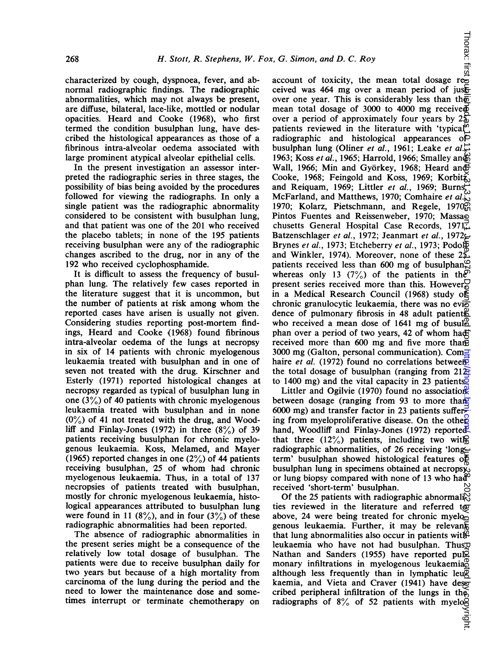characterized by cough, dyspnoea, fever, and abnormal radiographic findings. The radiographic abnormalities, which may not always be present, are diffuse, bilateral, lace-like, mottled or nodular opacities. Heard and Cooke (1968), who first termed the condition busulphan lung, have described the histological appearances as those of a fibrinous intra-alveolar oedema associated with large prominent atypical alveolar epithelial cells.

In the present investigation an assessor interpreted the radiographic series in three stages, the possibility of bias being avoided by the procedures followed for viewing the radiographs. In only a single patient was the radiographic abnormality considered to be consistent with busulphan lung, and that patient was one of the 201 who received the placebo tablets; in none of the 195 patients receiving busulphan were any of the radiographic changes ascribed to the drug, nor in any of the 192 who received cyclophosphamide.

It is difficult to assess the frequency of busulphan lung. The relatively few cases reported in the literature suggest that it is uncommon, but the number of patients at risk among whom the reported cases have arisen is usually not given. Considering studies reporting post-mortem findings, Heard and Cooke (1968) found fibrinous intra-alveolar oedema of the lungs at necropsy in six of 14 patients with chronic myelogenous leukaemia treated with busulphan and in one of seven not treated with the drug. Kirschner and Esterly (1971) reported histological changes at necropsy regarded as typical of busulphan lung in one  $(3\%)$  of 40 patients with chronic myelogenous leukaemia treated with busulphan and in none  $(0\%)$  of 41 not treated with the drug, and Woodliff and Finlay-Jones (1972) in three  $(8\%)$  of 39 patients receiving busulphan for chronic myelogenous leukaemia. Koss, Melamed, and Mayer (1965) reported changes in one  $(2\%)$  of 44 patients receiving busulphan, 25 of whom had chronic myelogenous leukaemia. Thus, in a total of 137 necropsies of patients treated with busulphan, mostly for chronic myelogenous leukaemia, histological appearances attributed to busulphan lung were found in 11 (8%), and in four (3%) of these radiographic abnormalities had been reported.

The absence of radiographic abnormalities in the present series might be a consequence of the relatively low total dosage of busulphan. The patients were due to receive busulphan daily for two years but because of a high mortality from carcinoma of the lung during the period and the need to lower the maintenance dose and sometimes interrupt or terminate chemotherapy on x, G. Simon, and D. C. Roy<br>account of toxicity, the mean total dosage represents the mean total dosage represents the set of the set of  $\frac{1}{2}$ ceived was 464 mg over a mean period of just over one year. This is considerably less than the mean total dosage of 3000 to 4000 mg received over a period of approximately four years by  $2\frac{5}{9}$ patients reviewed in the literature with 'typical' radiographic and histological appearances of busulphan lung (Oliner et al., 1961; Leake et al., 1963; Koss et al., 1965; Harrold, 1966; Smalley and Wall, 1966; Min and Györkey, 1968; Heard and Cooke, 1968; Feingold and Koss, 1969; Korbit $\zeta$ and Reiquam, 1969; Littler et al., 1969; Burns, McFarland, and Matthews, 1970; Comhaire et al. $\overset{\omega}{\omega}$ 1970; Kolarz, Pietschmann, and Regele, 1970 $\widetilde{\mathfrak{g}}$ Pintos Fuentes and Reissenweber, 1970; Massao chusetts General Hospital Case Records, 1971; Batzenschlager et al., 1972; Jeanmart et al., 1972; Brynes et al., 1973; Etcheberry et al., 1973; Podo and Winkler, 1974). Moreover, none of these 25 patients received less than 600 mg of busulphan $\frac{\infty}{n}$ whereas only 13 (7%) of the patients in the present series received more than this. However, in a Medical Research Council (1968) study of chronic granulocytic leukaemia, there was no evi $\overline{6}$ dence of pulmonary fibrosis in 48 adult patients who received a mean dose of 1641 mg of busul $^{10}_{\odot}$ phan over <sup>a</sup> period of two years, 42 of whom had received more than 600 mg and five more than 3000 mg (Galton, personal communication). Com $\overline{=}$ haire *et al.* (1972) found no correlations between the total dosage of busulphan (ranging from  $212\overline{2}$ to 1400 mg) and the vital capacity in 23 patients.  $\eta$ une 28, 2022 by guest. Protected by grown by copyright. Protection by copyright published  $\eta$  as  $\eta$  on  $\eta$   $\eta$  is the end is  $\eta$  is  $\eta$  as 10.1136. Downloaded from  $\eta$  is  $\eta$  as  $\eta$  is  $\eta$  is  $\eta$  is  $\eta$  i

Littler and Ogilvie (1970) found no association between dosage (ranging from 93 to more than 6000 mg) and transfer factor in 23 patients suffering from myeloproliferative disease. On the other hand, Woodliff and Finlay-Jones (1972) reported that three  $(12\%)$  patients, including two with radiographic abnormalities, of 26 receiving 'longterm' busulphan showed histological features of busulphan lung in specimens obtained at necrops $\breve{\mathbf{x}}_0$ or lung biopsy compared with none of <sup>13</sup> who had received 'short-term' busulphan.

Of the 25 patients with radiographic abnormali $\tilde{E}_1$ ties reviewed in the literature and referred to above, 24 were being treated for chronic myelogenous leukaemia. Further, it may be relevant that lung abnormalities also occur in patients with leukaemia who have not had busulphan. Thus, Nathan and Sanders (1955) have reported pulomonary infiltrations in myelogenous leukaemia, monary although less frequently than in lymphatic leu $\bar{p}$ kaemia, and Vieta and Craver (1941) have described peripheral infiltration of the lungs in the radiographs of 8% of 52 patients with myelog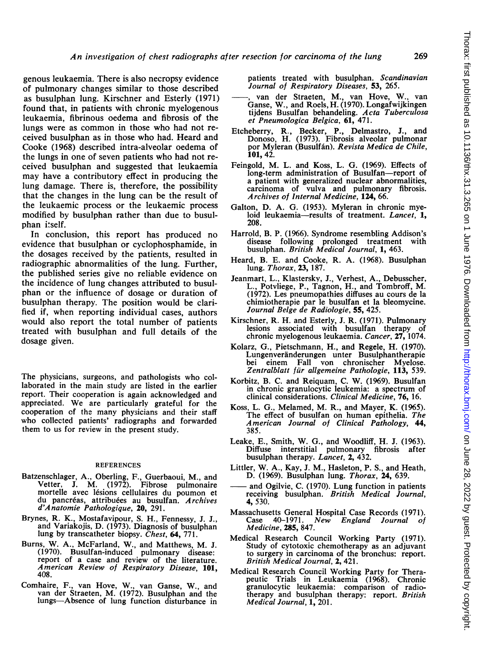genous leukaemia. There is also necropsy evidence of pulmonary changes similar to those described as busulphan lung. Kirschner and Esterly (1971) found that, in patients with chronic myelogenous leukaemia, fibrinous oedema and fibrosis of the lungs were as common in those who had not received busulphan as in those who had. Heard and Cooke (1968) described intra-alveolar oedema of the lungs in one of seven patients who had not received busulphan and suggested that leukaemia may have a contributory effect in producing the lung damage. There is, therefore, the possibility that the changes in the lung can be the result of the leukaemic process or the leukaemic process modified by busulphan rather than due to busulphan itself.

In conclusion, this report has produced no evidence that busulphan or cyclophosphamide, in the dosages received by the patients, resulted in radiographic abnormalities of the lung. Further, the published series give no reliable evidence on the incidence of lung changes attributed to busulphan or the influence of dosage or duration of busulphan therapy. The position would be clarified if, when reporting individual cases, authors would also report the total number of patients treated with busulphan and full details of the dosage given.

The physicians, surgeons, and pathologists who collaborated in the main study are listed in the earlier report. Their cooperation is again acknowledged and appreciated. We are particularly grateful for the cooperation of the many physicians and their staff who collected patients' radiographs and forwarded them to us for review in the present study.

#### REFERENCES

- Batzenschlager, A., Oberling, F., Guerbaoui, M., and Vetter, J. M. (1972). Fibrose pulmonaire mortelle avec lésions cellulaires du poumon et du pancréas, attribuées au busulfan. Archives d'Anatomie Pathologique, 20, 291.
- Brynes, R. K., Mostafavipour, S. H., Fennessy, J. J., and Variakojis, D. (1973). Diagnosis of busulphan lung by transcatheter biopsy. Chest, 64, 771.
- Burns, W. A., McFarland, W., and Matthews, M. J. (1970). Busulfan-induced pulmonary disease:<br>report of a case and review of the literature.<br>American Review of Respiratory Disease, 101, 408.
- Comhaire, F., van Hove, W., van Ganse, W., and van der Straeten, M. (1972). Busulphan and the lungs-Absence of lung function disturbance in

patients treated with busulphan. Scandinavian Journal of Respiratory Diseases, 53, 265.

- , van der Straeten, M., van Hove, W., van Ganse, W., and Roels, H. (1970). Longafwijkingen tijdens Busulfan behandeling. Acta Tuberculosa et Pneumologica Belgica, 61, 471.
- Etcheberry, R., Becker, P., Delmastro, J., and Donoso, H. (1973). Fibrosis alveolar pulmonar por Myleran (Busulfán). Revista Medica de Chile, 101, 42.
- Feingold, M. L. and Koss, L. G. (1969). Effects of long-term administration of Busulfan-report of a patient with generalized nuclear abnormalities, carcinoma of vulva and pulmonary fibrosis. Archives of Internal Medicine, 124, 66.
- Galton, D. A. G. (1953). Myleran in chronic myeloid leukaemia-results of treatment. Lancet, 1, 208.
- Harrold, B. P. (1966). Syndrome resembling Addison's disease following prolonged treatment with<br>busulphan. *British Medical Journal*, **1,** 463.
- Heard, B. E. and Cooke, R. A. (1968). Busulphan lung. Thorax, 23, 187.
- Jeanmart, L., Klastersky, J., Verhest, A., Debusscher, L., Potvliege, P., Tagnon, H., and Tombroff, M. (1972). Les pneumopathies diffuses au cours de la chimiotherapie par le busulfan et la bleomycine. Journal Belge de Radiologie, 55, 425.
- Kirschner, R. H. and Esterly, J. R. (1971). Pulmonary lesions associated with busulfan therapy of chronic myelogenous leukaemia. Cancer, 27, 1074.
- Kolarz, G., Pietschmann, H., and Regele, H. (1970). Lungenveränderungen unter Busulphantherapie bei einem Fall von chronischer Myelose. Zentralblatt für allgemeine Pathologie, 113, 539.
- Korbitz, B. C. and Reiquam, C. W. (1969). Busulfan in chronic granulocytic leukemia: a spectrum of clinical considerations. Clinical Medicine, 76, 16.
- Koss, L. G., Melamed, M. R., and Mayer, K. (1965). The effect of busulfan on human epithelia. The American Journal of Clinical Pathology, 44, 385.
- Leake, E., Smith, W. G., and Woodliff, H. J. (1963). Diffuse interstitial pulmonary fibrosis after busulphan therapy. Lancet, 2, 432.
- Littler, W. A., Kay, J. M., Hasleton, P. S., and Heath, D. (1969). Busulphan lung. Thorax, 24, 639.
- and Ogilvie, C. (1970). Lung function in patients receiving busulphan. British Medical Journal, 4, 530.
- Massachusetts General Hospital Case Records (1971).<br>Case 40-1971. New England Journal of England Journal of Medicine, 285, 847.
- Medical Research Council Working Party (1971). Study of cytotoxic chemotherapy as an adjuvant to surgery in carcinoma of the bronchus: report. British Medical Journal, 2, 421.
- Medical Research Council Working Party for Therapeutic Trials in Leukaemia (1968). Chronic granulocytic leukaemia: comparison of radio-therapy and busulphan therapy: report. British Medical Journal, 1, 201.